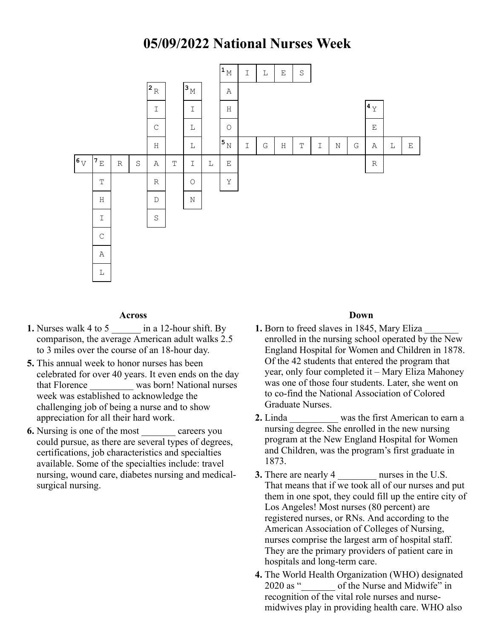## **05/09/2022 National Nurses Week**



## **Across**

- **1.** Nurses walk 4 to 5 \_\_\_\_\_\_ in a 12-hour shift. By comparison, the average American adult walks 2.5 to 3 miles over the course of an 18-hour day.
- **5.** This annual week to honor nurses has been celebrated for over 40 years. It even ends on the day that Florence \_\_\_\_\_\_\_\_\_ was born! National nurses week was established to acknowledge the challenging job of being a nurse and to show appreciation for all their hard work.
- **6.** Nursing is one of the most careers you could pursue, as there are several types of degrees, certifications, job characteristics and specialties available. Some of the specialties include: travel nursing, wound care, diabetes nursing and medicalsurgical nursing.

## **Down**

- **1.** Born to freed slaves in 1845, Mary Eliza enrolled in the nursing school operated by the New England Hospital for Women and Children in 1878. Of the 42 students that entered the program that year, only four completed it – Mary Eliza Mahoney was one of those four students. Later, she went on to co-find the National Association of Colored Graduate Nurses.
- **2.** Linda was the first American to earn a nursing degree. She enrolled in the new nursing program at the New England Hospital for Women and Children, was the program's first graduate in 1873.
- **3.** There are nearly 4 murses in the U.S. That means that if we took all of our nurses and put them in one spot, they could fill up the entire city of Los Angeles! Most nurses (80 percent) are registered nurses, or RNs. And according to the American Association of Colleges of Nursing, nurses comprise the largest arm of hospital staff. They are the primary providers of patient care in hospitals and long-term care.
- **4.** The World Health Organization (WHO) designated 2020 as "  $\qquad$  of the Nurse and Midwife" in recognition of the vital role nurses and nursemidwives play in providing health care. WHO also